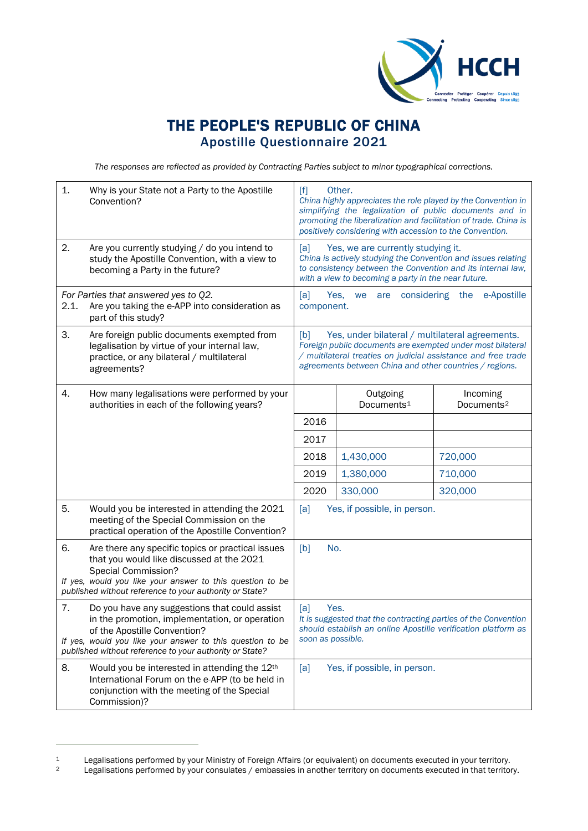

## THE PEOPLE'S REPUBLIC OF CHINA Apostille Questionnaire 2021

*The responses are reflected as provided by Contracting Parties subject to minor typographical corrections.*

| 1.                                                                                                                    | Why is your State not a Party to the Apostille<br>Convention?                                                                                                                                                                                           | Other.<br>$[f]$<br>China highly appreciates the role played by the Convention in<br>simplifying the legalization of public documents and in<br>promoting the liberalization and facilitation of trade. China is<br>positively considering with accession to the Convention. |                                    |                                    |
|-----------------------------------------------------------------------------------------------------------------------|---------------------------------------------------------------------------------------------------------------------------------------------------------------------------------------------------------------------------------------------------------|-----------------------------------------------------------------------------------------------------------------------------------------------------------------------------------------------------------------------------------------------------------------------------|------------------------------------|------------------------------------|
| 2.                                                                                                                    | Are you currently studying / do you intend to<br>study the Apostille Convention, with a view to<br>becoming a Party in the future?                                                                                                                      | Yes, we are currently studying it.<br>[a]<br>China is actively studying the Convention and issues relating<br>to consistency between the Convention and its internal law,<br>with a view to becoming a party in the near future.                                            |                                    |                                    |
| For Parties that answered yes to Q2.<br>Are you taking the e-APP into consideration as<br>2.1.<br>part of this study? |                                                                                                                                                                                                                                                         | Yes,<br>are considering the<br>e-Apostille<br>[a]<br>we<br>component.                                                                                                                                                                                                       |                                    |                                    |
| 3.                                                                                                                    | Are foreign public documents exempted from<br>legalisation by virtue of your internal law,<br>practice, or any bilateral / multilateral<br>agreements?                                                                                                  | Yes, under bilateral / multilateral agreements.<br>[b]<br>Foreign public documents are exempted under most bilateral<br>/ multilateral treaties on judicial assistance and free trade<br>agreements between China and other countries / regions.                            |                                    |                                    |
| 4.                                                                                                                    | How many legalisations were performed by your<br>authorities in each of the following years?                                                                                                                                                            |                                                                                                                                                                                                                                                                             | Outgoing<br>Documents <sup>1</sup> | Incoming<br>Documents <sup>2</sup> |
|                                                                                                                       |                                                                                                                                                                                                                                                         | 2016                                                                                                                                                                                                                                                                        |                                    |                                    |
|                                                                                                                       |                                                                                                                                                                                                                                                         | 2017                                                                                                                                                                                                                                                                        |                                    |                                    |
|                                                                                                                       |                                                                                                                                                                                                                                                         | 2018                                                                                                                                                                                                                                                                        | 1,430,000                          | 720,000                            |
|                                                                                                                       |                                                                                                                                                                                                                                                         | 2019                                                                                                                                                                                                                                                                        | 1,380,000                          | 710,000                            |
|                                                                                                                       |                                                                                                                                                                                                                                                         | 2020                                                                                                                                                                                                                                                                        | 330,000                            | 320,000                            |
| 5.                                                                                                                    | Would you be interested in attending the 2021<br>meeting of the Special Commission on the<br>practical operation of the Apostille Convention?                                                                                                           | [a]<br>Yes, if possible, in person.                                                                                                                                                                                                                                         |                                    |                                    |
| 6.                                                                                                                    | Are there any specific topics or practical issues<br>that you would like discussed at the 2021<br><b>Special Commission?</b><br>If yes, would you like your answer to this question to be<br>published without reference to your authority or State?    | No.<br>[b]                                                                                                                                                                                                                                                                  |                                    |                                    |
| 7.                                                                                                                    | Do you have any suggestions that could assist<br>in the promotion, implementation, or operation<br>of the Apostille Convention?<br>If yes, would you like your answer to this question to be<br>published without reference to your authority or State? | Yes.<br>[a]<br>It is suggested that the contracting parties of the Convention<br>should establish an online Apostille verification platform as<br>soon as possible.                                                                                                         |                                    |                                    |
| 8.                                                                                                                    | Would you be interested in attending the 12th<br>International Forum on the e-APP (to be held in<br>conjunction with the meeting of the Special<br>Commission)?                                                                                         | Yes, if possible, in person.<br>[a]                                                                                                                                                                                                                                         |                                    |                                    |

<span id="page-0-0"></span><sup>1</sup> Legalisations performed by your Ministry of Foreign Affairs (or equivalent) on documents executed in your territory.<br>1 Legalisations performed by your consulates / embassies in another territory on documents executed in

<span id="page-0-1"></span>Legalisations performed by your consulates / embassies in another territory on documents executed in that territory.